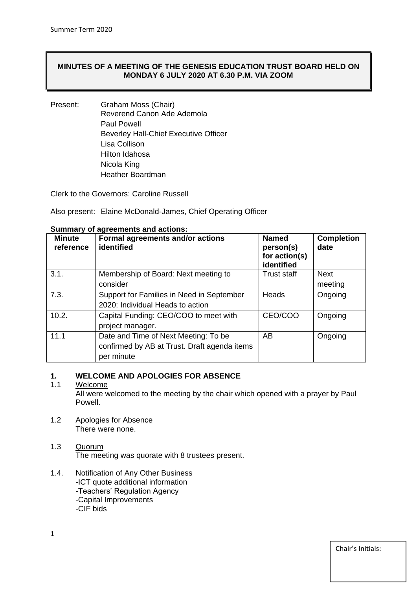# **MINUTES OF A MEETING OF THE GENESIS EDUCATION TRUST BOARD HELD ON MONDAY 6 JULY 2020 AT 6.30 P.M. VIA ZOOM**

Present: Graham Moss (Chair) Reverend Canon Ade Ademola Paul Powell Beverley Hall-Chief Executive Officer Lisa Collison Hilton Idahosa Nicola King Heather Boardman

Clerk to the Governors: Caroline Russell

Also present: Elaine McDonald-James, Chief Operating Officer

| <b>Minute</b><br>reference | Formal agreements and/or actions<br>identified | <b>Named</b><br>person(s)<br>for action(s)<br>identified | <b>Completion</b><br>date |
|----------------------------|------------------------------------------------|----------------------------------------------------------|---------------------------|
| 3.1.                       | Membership of Board: Next meeting to           | <b>Trust staff</b>                                       | <b>Next</b>               |
|                            | consider                                       |                                                          | meeting                   |
| 7.3.                       | Support for Families in Need in September      | Heads                                                    | Ongoing                   |
|                            | 2020: Individual Heads to action               |                                                          |                           |
| 10.2.                      | Capital Funding: CEO/COO to meet with          | CEO/COO                                                  | Ongoing                   |
|                            | project manager.                               |                                                          |                           |
| 11.1                       | Date and Time of Next Meeting: To be           | AB                                                       | Ongoing                   |
|                            | confirmed by AB at Trust. Draft agenda items   |                                                          |                           |
|                            | per minute                                     |                                                          |                           |

#### **Summary of agreements and actions:**

## **1. WELCOME AND APOLOGIES FOR ABSENCE**

## 1.1 Welcome

All were welcomed to the meeting by the chair which opened with a prayer by Paul Powell.

- 1.2 Apologies for Absence There were none.
- 1.3 Quorum The meeting was quorate with 8 trustees present.
- 1.4. Notification of Any Other Business -ICT quote additional information -Teachers' Regulation Agency -Capital Improvements -CIF bids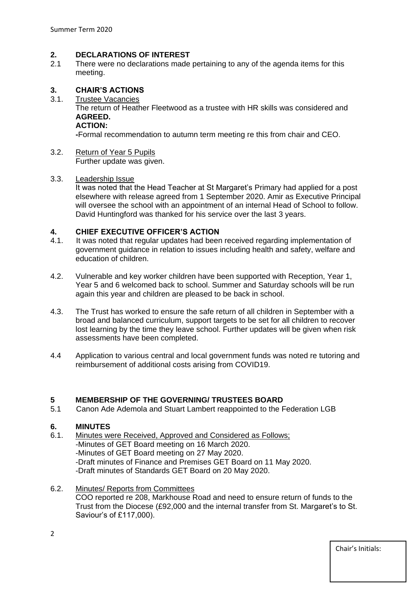### **2. DECLARATIONS OF INTEREST**

2.1 There were no declarations made pertaining to any of the agenda items for this meeting.

## **3. CHAIR'S ACTIONS**

3.1. Trustee Vacancies

The return of Heather Fleetwood as a trustee with HR skills was considered and **AGREED.**

#### **ACTION:**

**-**Formal recommendation to autumn term meeting re this from chair and CEO.

3.2. Return of Year 5 Pupils Further update was given.

#### 3.3. Leadership Issue

It was noted that the Head Teacher at St Margaret's Primary had applied for a post elsewhere with release agreed from 1 September 2020. Amir as Executive Principal will oversee the school with an appointment of an internal Head of School to follow. David Huntingford was thanked for his service over the last 3 years.

## **4. CHIEF EXECUTIVE OFFICER'S ACTION**

- 4.1. It was noted that regular updates had been received regarding implementation of government guidance in relation to issues including health and safety, welfare and education of children.
- 4.2. Vulnerable and key worker children have been supported with Reception, Year 1, Year 5 and 6 welcomed back to school. Summer and Saturday schools will be run again this year and children are pleased to be back in school.
- 4.3. The Trust has worked to ensure the safe return of all children in September with a broad and balanced curriculum, support targets to be set for all children to recover lost learning by the time they leave school. Further updates will be given when risk assessments have been completed.
- 4.4 Application to various central and local government funds was noted re tutoring and reimbursement of additional costs arising from COVID19.

# **5 MEMBERSHIP OF THE GOVERNING/ TRUSTEES BOARD**<br>5.1 Canon Ade Ademola and Stuart Lambert reappointed to the F

5.1 Canon Ade Ademola and Stuart Lambert reappointed to the Federation LGB

## **6. MINUTES**

- 6.1. Minutes were Received, Approved and Considered as Follows; -Minutes of GET Board meeting on 16 March 2020. -Minutes of GET Board meeting on 27 May 2020. -Draft minutes of Finance and Premises GET Board on 11 May 2020. -Draft minutes of Standards GET Board on 20 May 2020.
- 6.2. Minutes/ Reports from Committees COO reported re 208, Markhouse Road and need to ensure return of funds to the Trust from the Diocese (£92,000 and the internal transfer from St. Margaret's to St. Saviour's of £117,000).

2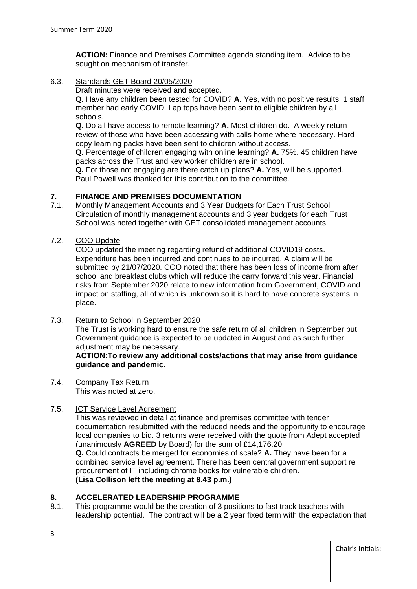**ACTION:** Finance and Premises Committee agenda standing item. Advice to be sought on mechanism of transfer.

6.3. Standards GET Board 20/05/2020

Draft minutes were received and accepted.

**Q.** Have any children been tested for COVID? **A.** Yes, with no positive results. 1 staff member had early COVID. Lap tops have been sent to eligible children by all schools.

**Q.** Do all have access to remote learning? **A.** Most children do**.** A weekly return review of those who have been accessing with calls home where necessary. Hard copy learning packs have been sent to children without access.

**Q.** Percentage of children engaging with online learning? **A.** 75%. 45 children have packs across the Trust and key worker children are in school.

**Q.** For those not engaging are there catch up plans? **A.** Yes, will be supported. Paul Powell was thanked for this contribution to the committee.

# **7. FINANCE AND PREMISES DOCUMENTATION**

- 7.1. Monthly Management Accounts and 3 Year Budgets for Each Trust School Circulation of monthly management accounts and 3 year budgets for each Trust School was noted together with GET consolidated management accounts.
- 7.2. COO Update

COO updated the meeting regarding refund of additional COVID19 costs. Expenditure has been incurred and continues to be incurred. A claim will be submitted by 21/07/2020. COO noted that there has been loss of income from after school and breakfast clubs which will reduce the carry forward this year. Financial risks from September 2020 relate to new information from Government, COVID and impact on staffing, all of which is unknown so it is hard to have concrete systems in place.

7.3. Return to School in September 2020

The Trust is working hard to ensure the safe return of all children in September but Government guidance is expected to be updated in August and as such further adjustment may be necessary.

**ACTION:To review any additional costs/actions that may arise from guidance guidance and pandemic**.

7.4. Company Tax Return This was noted at zero.

# 7.5. ICT Service Level Agreement

This was reviewed in detail at finance and premises committee with tender documentation resubmitted with the reduced needs and the opportunity to encourage local companies to bid. 3 returns were received with the quote from Adept accepted (unanimously **AGREED** by Board) for the sum of £14,176.20.

**Q.** Could contracts be merged for economies of scale? **A.** They have been for a combined service level agreement. There has been central government support re procurement of IT including chrome books for vulnerable children. **(Lisa Collison left the meeting at 8.43 p.m.)**

## **8. ACCELERATED LEADERSHIP PROGRAMME**

8.1. This programme would be the creation of 3 positions to fast track teachers with leadership potential. The contract will be a 2 year fixed term with the expectation that